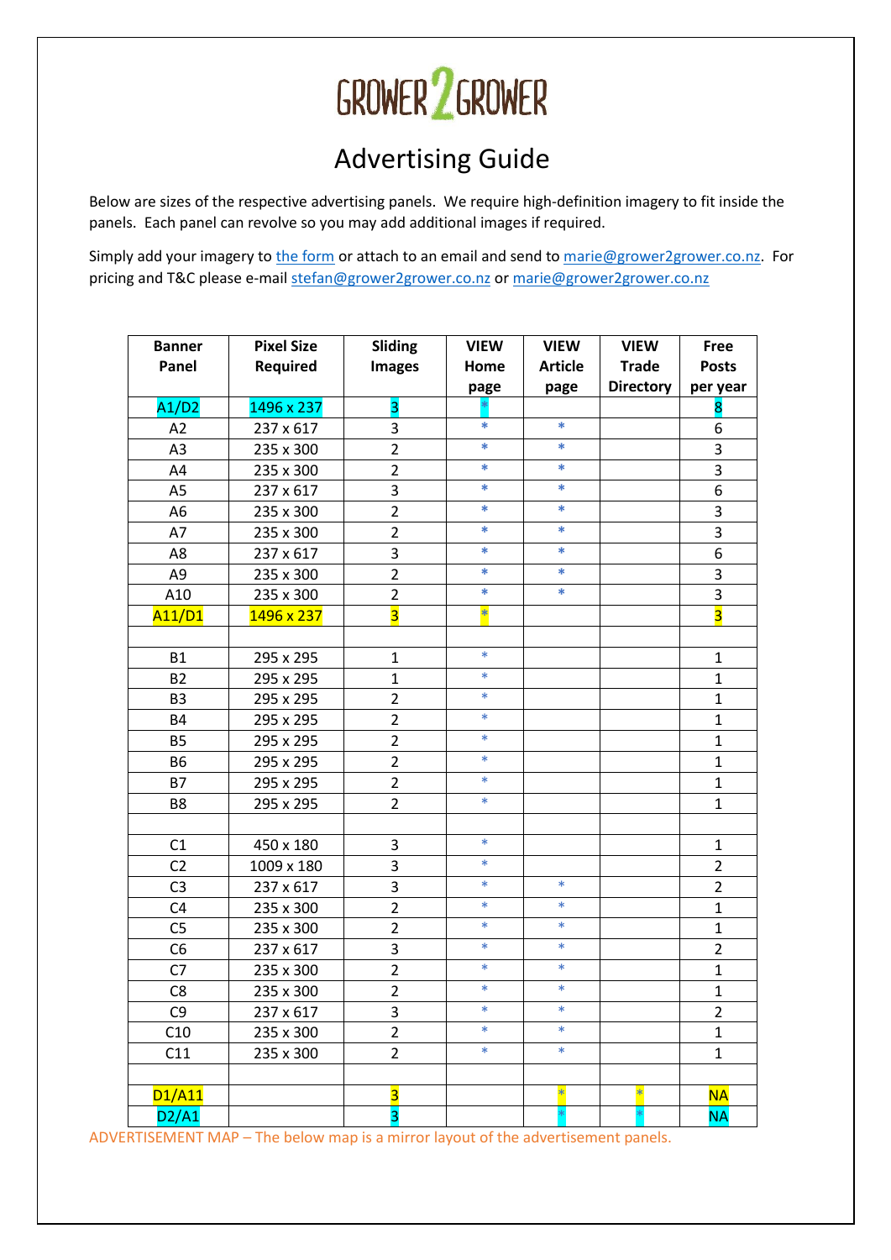## **GROWER 2 GROWER**

## Advertising Guide

Below are sizes of the respective advertising panels. We require high-definition imagery to fit inside the panels. Each panel can revolve so you may add additional images if required.

Simply add your imagery to [the form](https://grower2grower.granite-web.com/advertise-form/) or attach to an email and send to [marie@grower2grower.co.nz.](mailto:marie@grower2grower.co.nz) For pricing and T&C please e-mai[l stefan@grower2grower.co.nz](mailto:stefan@grower2grower.co.nz) o[r marie@grower2grower.co.nz](mailto:marie@grower2grower.co.nz)

| <b>Banner</b>                   | <b>Pixel Size</b> | <b>Sliding</b>          | <b>VIEW</b> | <b>VIEW</b>    | <b>VIEW</b>      | Free                    |
|---------------------------------|-------------------|-------------------------|-------------|----------------|------------------|-------------------------|
| Panel                           | Required          | <b>Images</b>           | Home        | <b>Article</b> | <b>Trade</b>     | <b>Posts</b>            |
|                                 |                   |                         | page        | page           | <b>Directory</b> | per year                |
| A1/D2                           | 1496 x 237        | 3                       |             |                |                  | 8                       |
| A2                              | 237 x 617         | 3                       | *           | $\ast$         |                  | 6                       |
| A <sub>3</sub>                  | 235 x 300         | $\overline{2}$          | $\ast$      | $\ast$         |                  | 3                       |
| A4                              | 235 x 300         | $\overline{2}$          | $\ast$      | $\ast$         |                  | $\overline{\mathbf{3}}$ |
| A5                              | 237 x 617         | 3                       | *           | $\ast$         |                  | 6                       |
| A <sub>6</sub>                  | 235 x 300         | $\overline{2}$          | $\ast$      | $\ast$         |                  | 3                       |
| A7                              | 235 x 300         | $\overline{2}$          | *           | $\ast$         |                  | 3                       |
| A8                              | 237 x 617         | 3                       | *           | $\ast$         |                  | 6                       |
| A9                              | 235 x 300         | $\overline{2}$          | $\ast$      | $\ast$         |                  | 3                       |
| A10                             | 235 x 300         | $\overline{2}$          | $\ast$      | $\ast$         |                  | 3                       |
| A11/D1                          | 1496 x 237        | $\overline{\mathbf{3}}$ | ×           |                |                  | $\overline{\mathbf{3}}$ |
|                                 |                   |                         |             |                |                  |                         |
| <b>B1</b>                       | 295 x 295         | $\mathbf{1}$            | $\ast$      |                |                  | $\mathbf{1}$            |
| <b>B2</b>                       | 295 x 295         | $\mathbf{1}$            | $\ast$      |                |                  | $\mathbf{1}$            |
| B <sub>3</sub>                  | 295 x 295         | $\overline{2}$          | $\ast$      |                |                  | $\mathbf{1}$            |
| <b>B4</b>                       | 295 x 295         | $\overline{2}$          | *           |                |                  | $\mathbf{1}$            |
| <b>B5</b>                       | 295 x 295         | $\overline{2}$          | *           |                |                  | $\mathbf{1}$            |
| <b>B6</b>                       | 295 x 295         | $\overline{2}$          | $\ast$      |                |                  | $\mathbf{1}$            |
| <b>B7</b>                       | 295 x 295         | $\overline{2}$          | $\ast$      |                |                  | $\mathbf{1}$            |
| B <sub>8</sub>                  | 295 x 295         | $\overline{2}$          | $\ast$      |                |                  | $\mathbf{1}$            |
|                                 |                   |                         |             |                |                  |                         |
| C1                              | 450 x 180         | 3                       | $\ast$      |                |                  | $\mathbf{1}$            |
| C <sub>2</sub>                  | 1009 x 180        | 3                       | $\ast$      |                |                  | $\overline{2}$          |
| C <sub>3</sub>                  | 237 x 617         | 3                       | $\ast$      | $\ast$         |                  | $\overline{2}$          |
| C <sub>4</sub>                  | 235 x 300         | $\overline{2}$          | $\ast$      | $\ast$         |                  | $\mathbf{1}$            |
| C <sub>5</sub>                  | 235 x 300         | $\overline{2}$          | $\ast$      | $\ast$         |                  | $\mathbf{1}$            |
| C <sub>6</sub>                  | 237 x 617         | 3                       | $\ast$      | $\ast$         |                  | $\overline{2}$          |
| C <sub>7</sub>                  | 235 x 300         | $\overline{2}$          | $\ast$      | $\ast$         |                  | $\mathbf{1}$            |
| C8                              | 235 x 300         | $\overline{2}$          | $\ast$      | $\ast$         |                  | $\mathbf{1}$            |
| C <sub>9</sub>                  | 237 x 617         | 3                       |             |                |                  | 2                       |
| C10                             | 235 x 300         | $\overline{2}$          | $\ast$      | $\ast$         |                  | $\mathbf{1}$            |
| C11                             | 235 x 300         | $\overline{2}$          | $\ast$      | $\ast$         |                  | $\mathbf{1}$            |
|                                 |                   |                         |             |                |                  |                         |
| D <sub>1</sub> /A <sub>11</sub> |                   | $\overline{\mathbf{3}}$ |             | $*$            | $\frac{1}{2}$    | <b>NA</b>               |
| D2/A1                           |                   | $\overline{\mathbf{3}}$ |             |                |                  | <b>NA</b>               |

ADVERTISEMENT MAP – The below map is a mirror layout of the advertisement panels.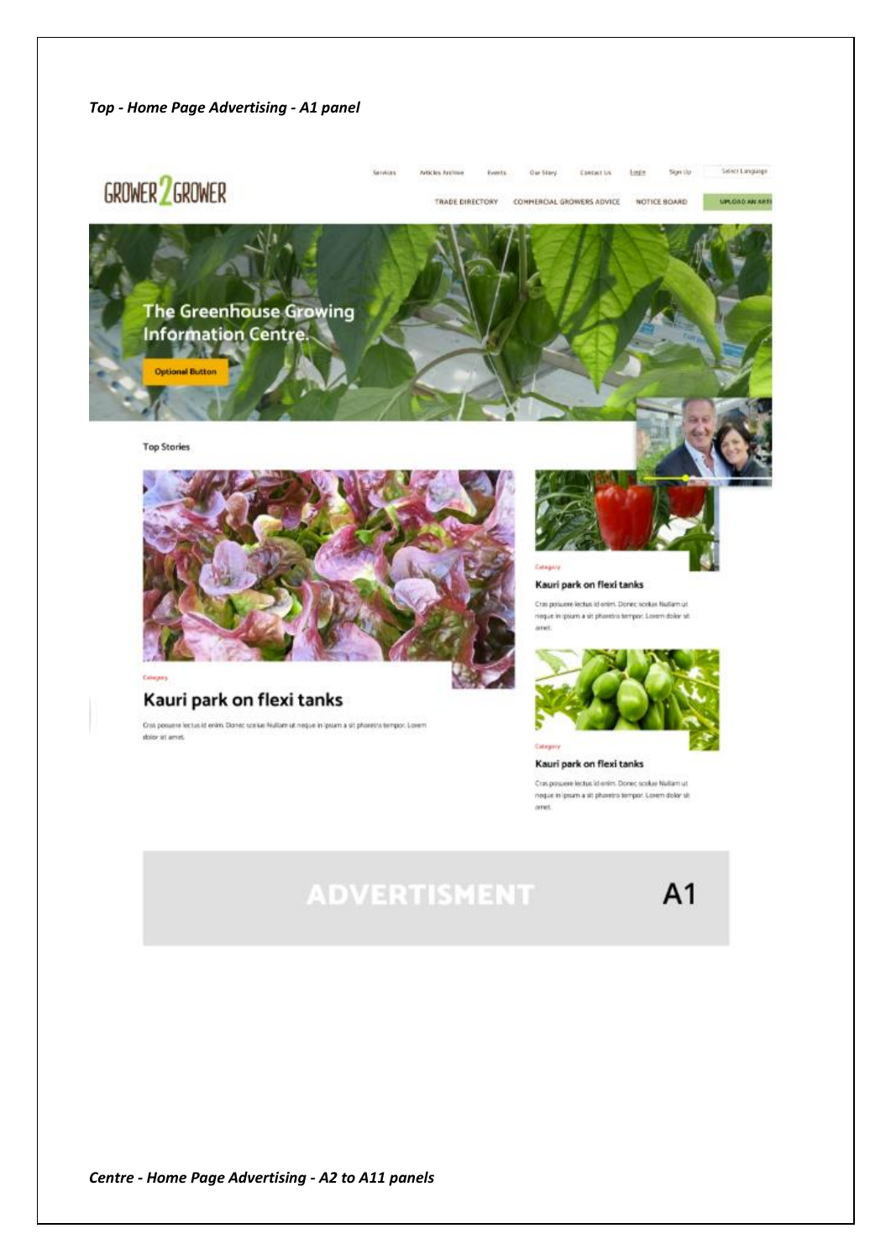

Cras possere lectus id enim. Donec scolue Nation ut. rieque in ipsum a sit photetrs tempor. Lorem dolor sit omet.

## **ADVERTISMENT**

 $A<sub>1</sub>$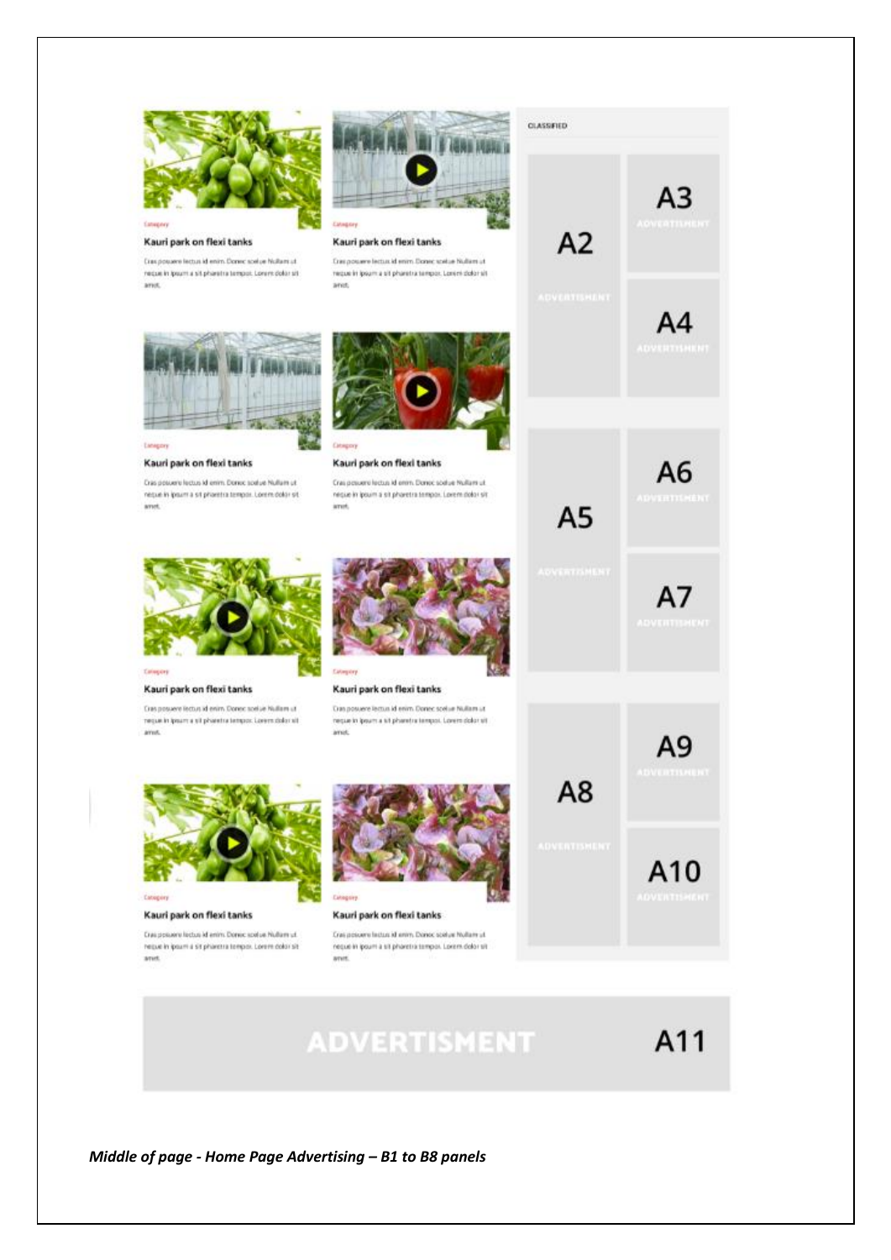

*Middle of page - Home Page Advertising – B1 to B8 panels*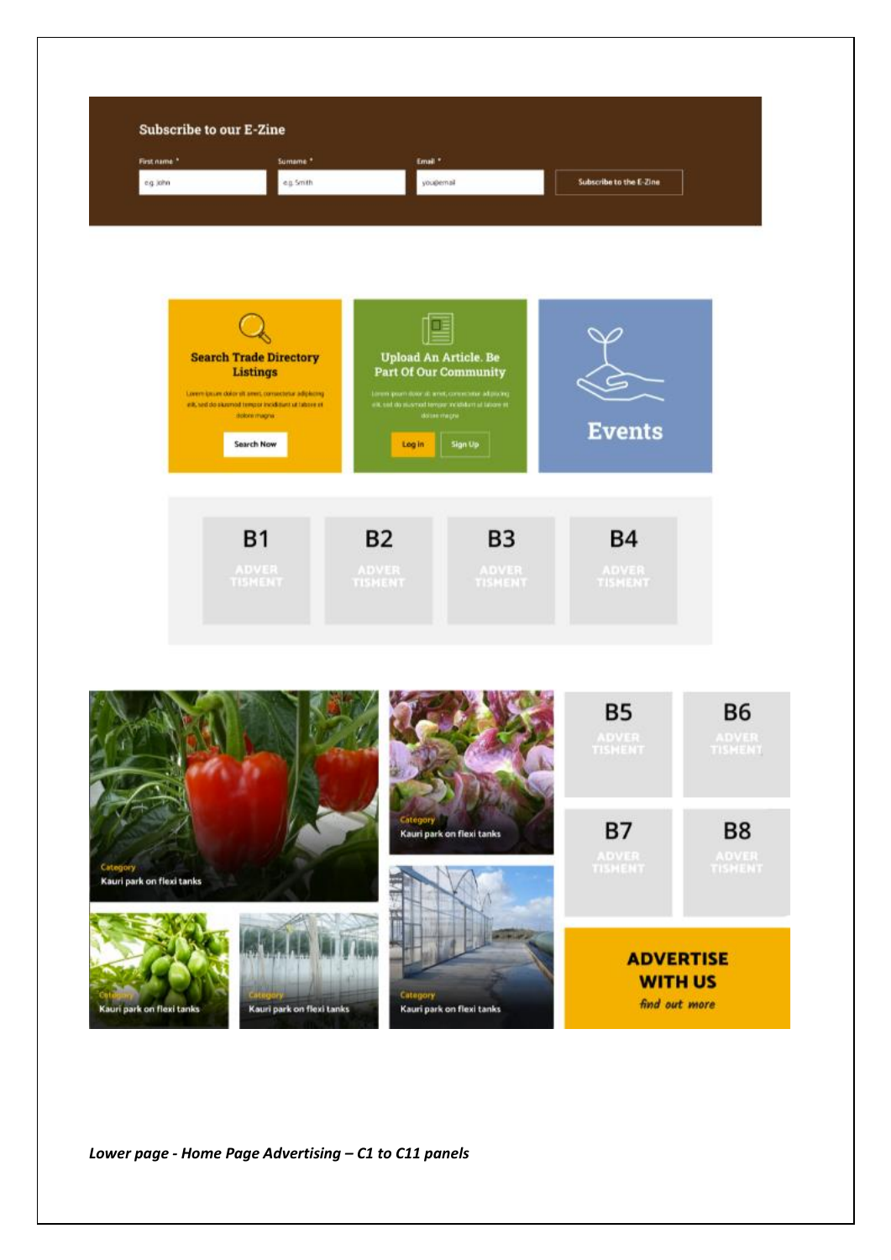

*Lower page - Home Page Advertising – C1 to C11 panels*